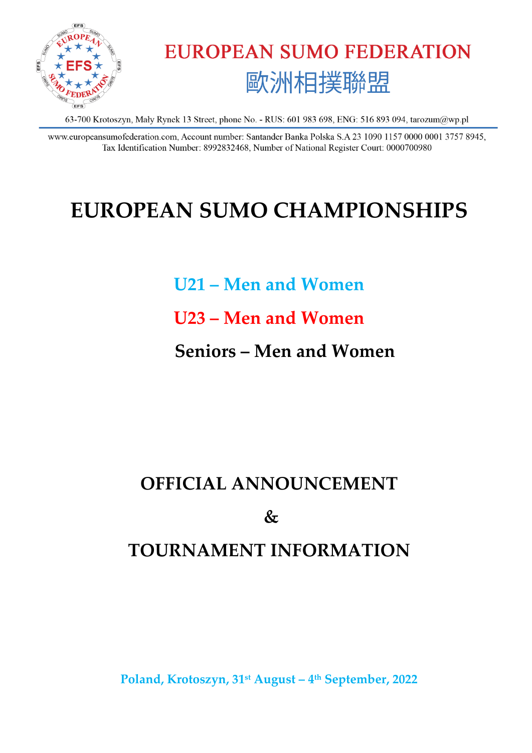

**EUROPEAN SUMO FEDERATION** 歐洲相撲聯盟

63-700 Krotoszyn, Mały Rynek 13 Street, phone No. - RUS: 601 983 698, ENG: 516 893 094, tarozum@wp.pl

www.europeansumofederation.com, Account number: Santander Banka Polska S.A 23 1090 1157 0000 0001 3757 8945, Tax Identification Number: 8992832468, Number of National Register Court: 0000700980

# **EUROPEAN SUMO CHAMPIONSHIPS**

**U21 – Men and Women**

**U23 – Men and Women**

 **Seniors – Men and Women**

# **OFFICIAL ANNOUNCEMENT**

 $\mathcal{X}_{\mathcal{I}}$ 

# **TOURNAMENT INFORMATION**

**Poland, Krotoszyn, 31st August – 4 th September, 2022**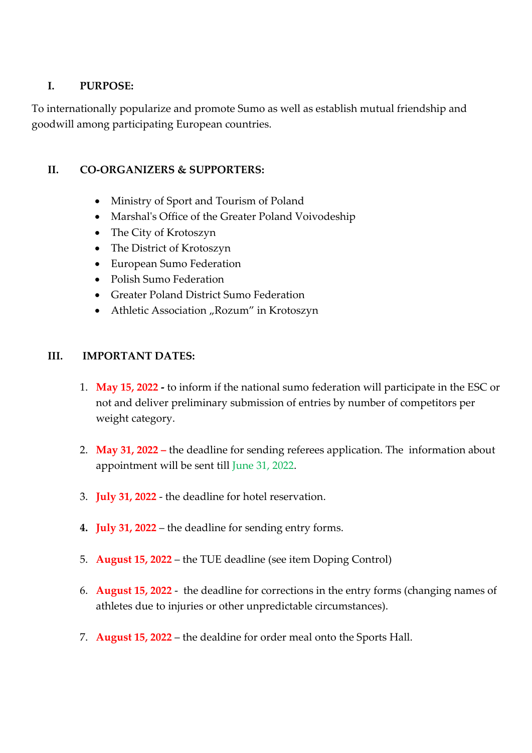## **I. PURPOSE:**

To internationally popularize and promote Sumo as well as establish mutual friendship and goodwill among participating European countries.

#### **II. CO-ORGANIZERS & SUPPORTERS:**

- Ministry of Sport and Tourism of Poland
- Marshal's Office of the Greater Poland Voivodeship
- The City of Krotoszyn
- The District of Krotoszyn
- European Sumo Federation
- Polish Sumo Federation
- Greater Poland District Sumo Federation
- Athletic Association "Rozum" in Krotoszyn

#### **III. IMPORTANT DATES:**

- 1. **May 15, 2022 -** to inform if the national sumo federation will participate in the ESC or not and deliver preliminary submission of entries by number of competitors per weight category.
- 2. **May 31, 2022 –** the deadline for sending referees application. The information about appointment will be sent till June 31, 2022.
- 3. **July 31, 2022** the deadline for hotel reservation.
- **4. July 31, 2022** the deadline for sending entry forms.
- 5. **August 15, 2022** the TUE deadline (see item Doping Control)
- 6. **August 15, 2022** the deadline for corrections in the entry forms (changing names of athletes due to injuries or other unpredictable circumstances).
- 7. **August 15, 2022** the dealdine for order meal onto the Sports Hall.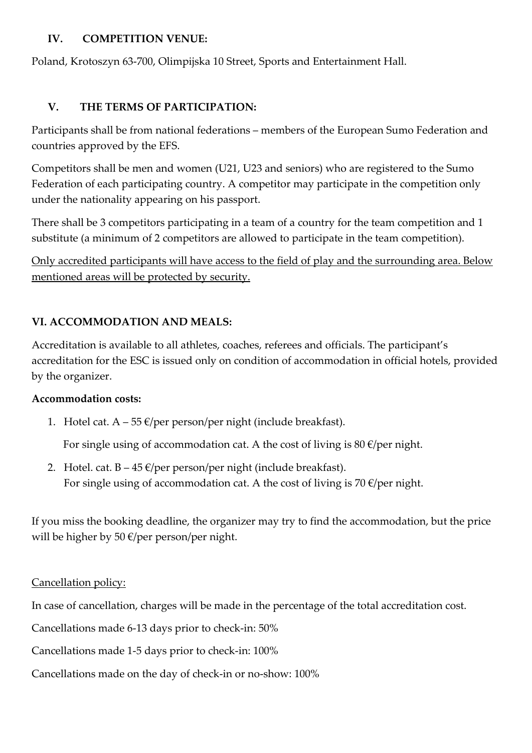## **IV. COMPETITION VENUE:**

Poland, Krotoszyn 63-700, Olimpijska 10 Street, Sports and Entertainment Hall.

# **V. THE TERMS OF PARTICIPATION:**

Participants shall be from national federations – members of the European Sumo Federation and countries approved by the EFS.

Competitors shall be men and women (U21, U23 and seniors) who are registered to the Sumo Federation of each participating country. A competitor may participate in the competition only under the nationality appearing on his passport.

There shall be 3 competitors participating in a team of a country for the team competition and 1 substitute (a minimum of 2 competitors are allowed to participate in the team competition).

Only accredited participants will have access to the field of play and the surrounding area. Below mentioned areas will be protected by security.

# **VI. ACCOMMODATION AND MEALS:**

Accreditation is available to all athletes, coaches, referees and officials. The participant's accreditation for the ESC is issued only on condition of accommodation in official hotels, provided by the organizer.

# **Accommodation costs:**

1. Hotel cat.  $A - 55 \in \text{/per person/per night}$  (include breakfast).

For single using of accommodation cat. A the cost of living is  $80 \text{ E/per}$  night.

2. Hotel. cat.  $B - 45 \epsilon$ /per person/per night (include breakfast). For single using of accommodation cat. A the cost of living is 70  $\epsilon$ /per night.

If you miss the booking deadline, the organizer may try to find the accommodation, but the price will be higher by 50 €/per person/per night.

# Cancellation policy:

In case of cancellation, charges will be made in the percentage of the total accreditation cost.

Cancellations made 6-13 days prior to check-in: 50%

Cancellations made 1-5 days prior to check-in: 100%

Cancellations made on the day of check-in or no-show: 100%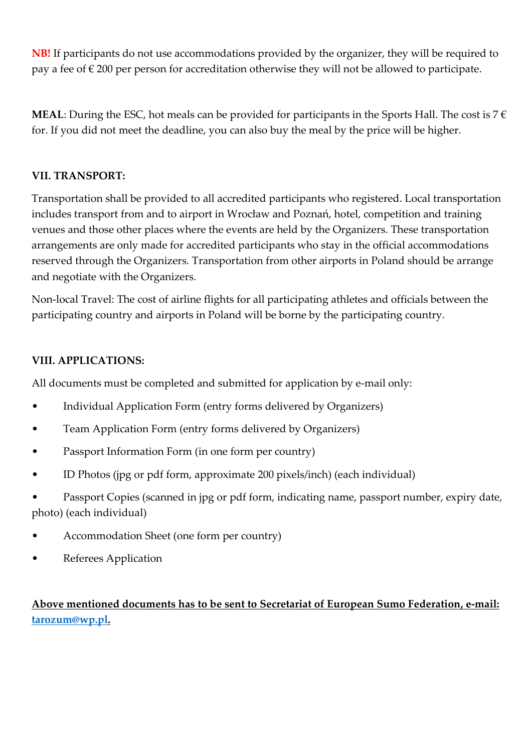**NB!** If participants do not use accommodations provided by the organizer, they will be required to pay a fee of  $\epsilon$  200 per person for accreditation otherwise they will not be allowed to participate.

**MEAL**: During the ESC, hot meals can be provided for participants in the Sports Hall. The cost is  $7 \in$ for. If you did not meet the deadline, you can also buy the meal by the price will be higher.

# **VII. TRANSPORT:**

Transportation shall be provided to all accredited participants who registered. Local transportation includes transport from and to airport in Wrocław and Poznań, hotel, competition and training venues and those other places where the events are held by the Organizers. These transportation arrangements are only made for accredited participants who stay in the official accommodations reserved through the Organizers. Transportation from other airports in Poland should be arrange and negotiate with the Organizers.

Non-local Travel: The cost of airline flights for all participating athletes and officials between the participating country and airports in Poland will be borne by the participating country.

# **VIII. APPLICATIONS:**

All documents must be completed and submitted for application by e-mail only:

- Individual Application Form (entry forms delivered by Organizers)
- Team Application Form (entry forms delivered by Organizers)
- Passport Information Form (in one form per country)
- ID Photos (jpg or pdf form, approximate 200 pixels/inch) (each individual)

Passport Copies (scanned in jpg or pdf form, indicating name, passport number, expiry date, photo) (each individual)

- Accommodation Sheet (one form per country)
- Referees Application

**Above mentioned documents has to be sent to Secretariat of European Sumo Federation, e-mail: [tarozum@wp.pl.](mailto:tarozum@wp.pl)**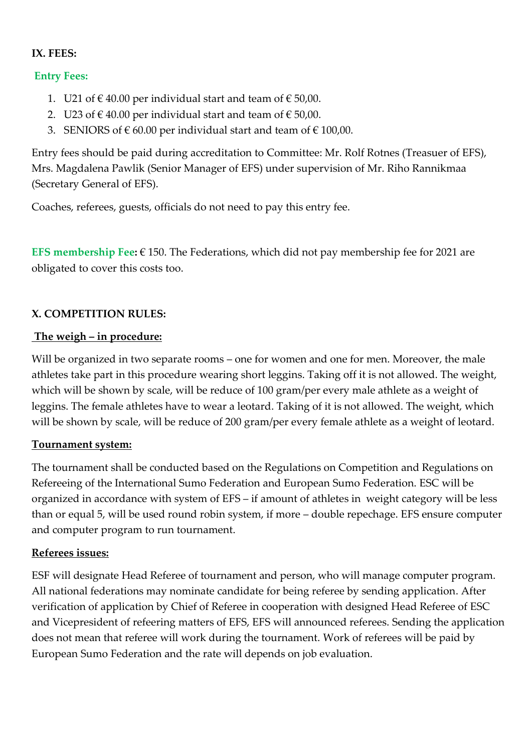#### **IX. FEES:**

#### **Entry Fees:**

- 1. U21 of €40.00 per individual start and team of €50,00.
- 2. U23 of €40.00 per individual start and team of €50,00.
- 3. SENIORS of € 60.00 per individual start and team of € 100,00.

Entry fees should be paid during accreditation to Committee: Mr. Rolf Rotnes (Treasuer of EFS), Mrs. Magdalena Pawlik (Senior Manager of EFS) under supervision of Mr. Riho Rannikmaa (Secretary General of EFS).

Coaches, referees, guests, officials do not need to pay this entry fee.

**EFS membership Fee:** € 150. The Federations, which did not pay membership fee for 2021 are obligated to cover this costs too.

#### **X. COMPETITION RULES:**

#### **The weigh – in procedure:**

Will be organized in two separate rooms – one for women and one for men. Moreover, the male athletes take part in this procedure wearing short leggins. Taking off it is not allowed. The weight, which will be shown by scale, will be reduce of 100 gram/per every male athlete as a weight of leggins. The female athletes have to wear a leotard. Taking of it is not allowed. The weight, which will be shown by scale, will be reduce of 200 gram/per every female athlete as a weight of leotard.

#### **Tournament system:**

The tournament shall be conducted based on the Regulations on Competition and Regulations on Refereeing of the International Sumo Federation and European Sumo Federation. ESC will be organized in accordance with system of EFS – if amount of athletes in weight category will be less than or equal 5, will be used round robin system, if more – double repechage. EFS ensure computer and computer program to run tournament.

#### **Referees issues:**

ESF will designate Head Referee of tournament and person, who will manage computer program. All national federations may nominate candidate for being referee by sending application. After verification of application by Chief of Referee in cooperation with designed Head Referee of ESC and Vicepresident of refeering matters of EFS, EFS will announced referees. Sending the application does not mean that referee will work during the tournament. Work of referees will be paid by European Sumo Federation and the rate will depends on job evaluation.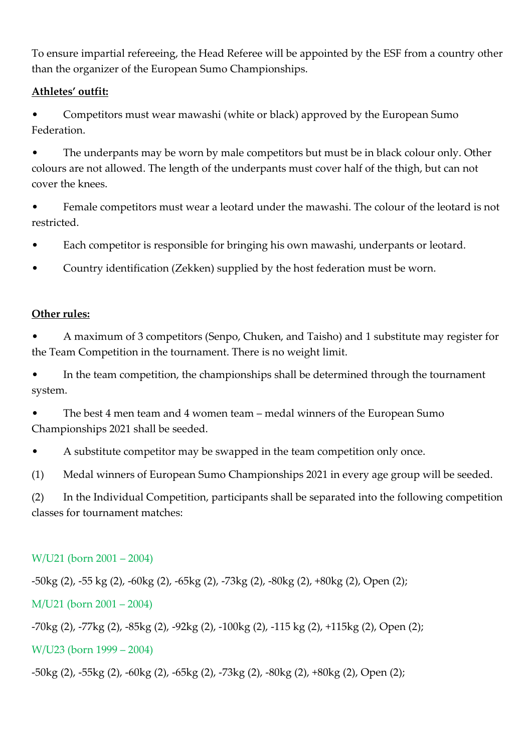To ensure impartial refereeing, the Head Referee will be appointed by the ESF from a country other than the organizer of the European Sumo Championships.

# **Athletes' outfit:**

• Competitors must wear mawashi (white or black) approved by the European Sumo Federation.

The underpants may be worn by male competitors but must be in black colour only. Other colours are not allowed. The length of the underpants must cover half of the thigh, but can not cover the knees.

• Female competitors must wear a leotard under the mawashi. The colour of the leotard is not restricted.

• Each competitor is responsible for bringing his own mawashi, underpants or leotard.

• Country identification (Zekken) supplied by the host federation must be worn.

# **Other rules:**

• A maximum of 3 competitors (Senpo, Chuken, and Taisho) and 1 substitute may register for the Team Competition in the tournament. There is no weight limit.

In the team competition, the championships shall be determined through the tournament system.

• The best 4 men team and 4 women team – medal winners of the European Sumo Championships 2021 shall be seeded.

• A substitute competitor may be swapped in the team competition only once.

(1) Medal winners of European Sumo Championships 2021 in every age group will be seeded.

(2) In the Individual Competition, participants shall be separated into the following competition classes for tournament matches:

# W/U21 (born 2001 – 2004)

-50kg (2), -55 kg (2), -60kg (2), -65kg (2), -73kg (2), -80kg (2), +80kg (2), Open (2);

M/U21 (born 2001 – 2004)

-70kg (2), -77kg (2), -85kg (2), -92kg (2), -100kg (2), -115 kg (2), +115kg (2), Open (2);

# W/U23 (born 1999 – 2004)

-50kg (2), -55kg (2), -60kg (2), -65kg (2), -73kg (2), -80kg (2), +80kg (2), Open (2);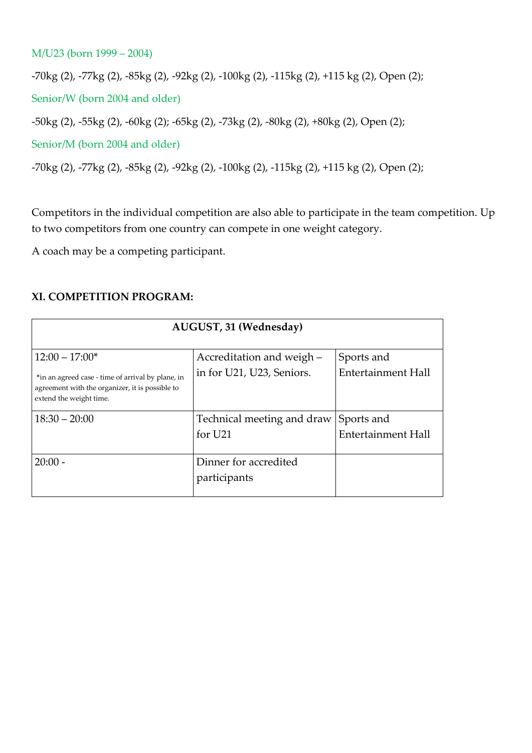#### M/U23 (born 1999 – 2004)

-70kg (2), -77kg (2), -85kg (2), -92kg (2), -100kg (2), -115kg (2), +115 kg (2), Open (2);

Senior/W (born 2004 and older)

-50kg (2), -55kg (2), -60kg (2); -65kg (2), -73kg (2), -80kg (2), +80kg (2), Open (2);

Senior/M (born 2004 and older)

-70kg (2), -77kg (2), -85kg (2), -92kg (2), -100kg (2), -115kg (2), +115 kg (2), Open (2);

Competitors in the individual competition are also able to participate in the team competition. Up to two competitors from one country can compete in one weight category.

A coach may be a competing participant.

#### **XI. COMPETITION PROGRAM:**

| AUGUST, 31 (Wednesday)                                                                                                          |                            |                           |  |  |
|---------------------------------------------------------------------------------------------------------------------------------|----------------------------|---------------------------|--|--|
|                                                                                                                                 |                            |                           |  |  |
| $12:00 - 17:00*$                                                                                                                | Accreditation and weigh -  | Sports and                |  |  |
| *in an agreed case - time of arrival by plane, in<br>agreement with the organizer, it is possible to<br>extend the weight time. | in for U21, U23, Seniors.  | <b>Entertainment Hall</b> |  |  |
| $18:30 - 20:00$                                                                                                                 | Technical meeting and draw | Sports and                |  |  |
|                                                                                                                                 | for U <sub>21</sub>        | <b>Entertainment Hall</b> |  |  |
| $20:00 -$                                                                                                                       | Dinner for accredited      |                           |  |  |
|                                                                                                                                 | participants               |                           |  |  |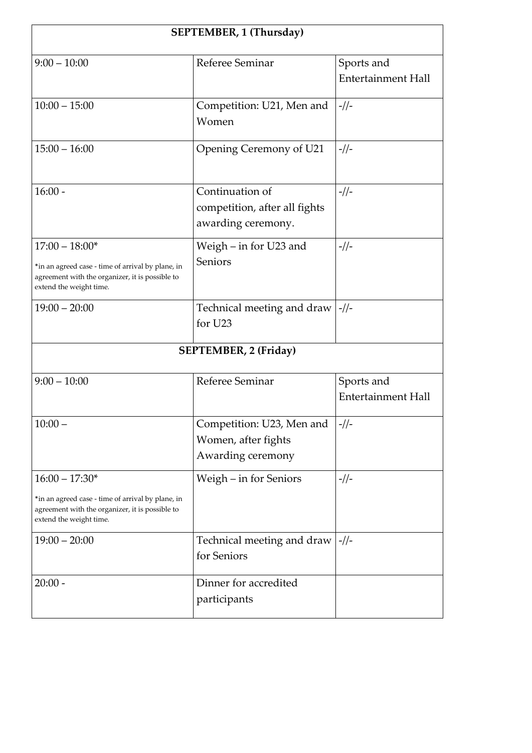| SEPTEMBER, 1 (Thursday)                                                                                                                             |                                                                        |                                         |  |  |
|-----------------------------------------------------------------------------------------------------------------------------------------------------|------------------------------------------------------------------------|-----------------------------------------|--|--|
| $9:00 - 10:00$                                                                                                                                      | Referee Seminar                                                        | Sports and<br><b>Entertainment Hall</b> |  |  |
| $10:00 - 15:00$                                                                                                                                     | Competition: U21, Men and<br>Women                                     | $-1/$                                   |  |  |
| $15:00 - 16:00$                                                                                                                                     | Opening Ceremony of U21                                                | $-1/$                                   |  |  |
| $16:00 -$                                                                                                                                           | Continuation of<br>competition, after all fights<br>awarding ceremony. | $-1/$                                   |  |  |
| $17:00 - 18:00*$<br>*in an agreed case - time of arrival by plane, in<br>agreement with the organizer, it is possible to<br>extend the weight time. | Weigh - in for U23 and<br>Seniors                                      | $-1/$                                   |  |  |
| $19:00 - 20:00$                                                                                                                                     | Technical meeting and draw<br>for U23                                  | $-1/$                                   |  |  |
| <b>SEPTEMBER, 2 (Friday)</b>                                                                                                                        |                                                                        |                                         |  |  |
| $9:00 - 10:00$                                                                                                                                      | Referee Seminar                                                        | Sports and<br><b>Entertainment Hall</b> |  |  |
| $10:00 -$                                                                                                                                           | Competition: U23, Men and<br>Women, after fights<br>Awarding ceremony  | $-1/1-$                                 |  |  |
| $16:00 - 17:30*$<br>*in an agreed case - time of arrival by plane, in<br>agreement with the organizer, it is possible to<br>extend the weight time. | Weigh – in for Seniors                                                 | $-1/$                                   |  |  |
| $19:00 - 20:00$                                                                                                                                     | Technical meeting and draw<br>for Seniors                              | $-1/$                                   |  |  |
| $20:00 -$                                                                                                                                           | Dinner for accredited<br>participants                                  |                                         |  |  |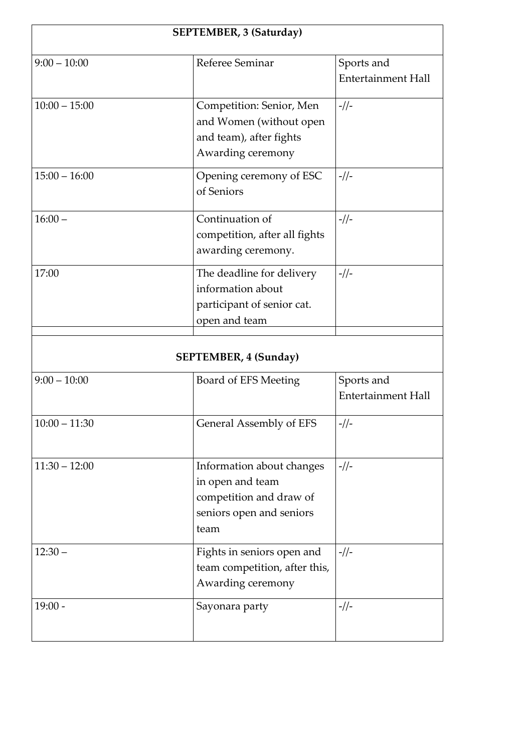| <b>SEPTEMBER, 3 (Saturday)</b> |                                                                                                              |                                         |  |  |
|--------------------------------|--------------------------------------------------------------------------------------------------------------|-----------------------------------------|--|--|
| $9:00 - 10:00$                 | Referee Seminar                                                                                              | Sports and<br><b>Entertainment Hall</b> |  |  |
| $10:00 - 15:00$                | Competition: Senior, Men<br>and Women (without open<br>and team), after fights<br>Awarding ceremony          | $-1/$                                   |  |  |
| $15:00 - 16:00$                | Opening ceremony of ESC<br>of Seniors                                                                        | $-1/$                                   |  |  |
| $16:00 -$                      | Continuation of<br>competition, after all fights<br>awarding ceremony.                                       | $-1/1$                                  |  |  |
| 17:00                          | The deadline for delivery<br>information about<br>participant of senior cat.<br>open and team                | $-1/$                                   |  |  |
| <b>SEPTEMBER, 4 (Sunday)</b>   |                                                                                                              |                                         |  |  |
| $9:00 - 10:00$                 | Board of EFS Meeting                                                                                         | Sports and<br><b>Entertainment Hall</b> |  |  |
| $10:00 - 11:30$                | <b>General Assembly of EFS</b>                                                                               | $-1/1 -$                                |  |  |
| $11:30 - 12:00$                | Information about changes<br>in open and team<br>competition and draw of<br>seniors open and seniors<br>team | $-1/$                                   |  |  |
| $12:30 -$                      | Fights in seniors open and<br>team competition, after this,<br>Awarding ceremony                             | $-1/$                                   |  |  |
| $19:00 -$                      | Sayonara party                                                                                               | $-1/$                                   |  |  |